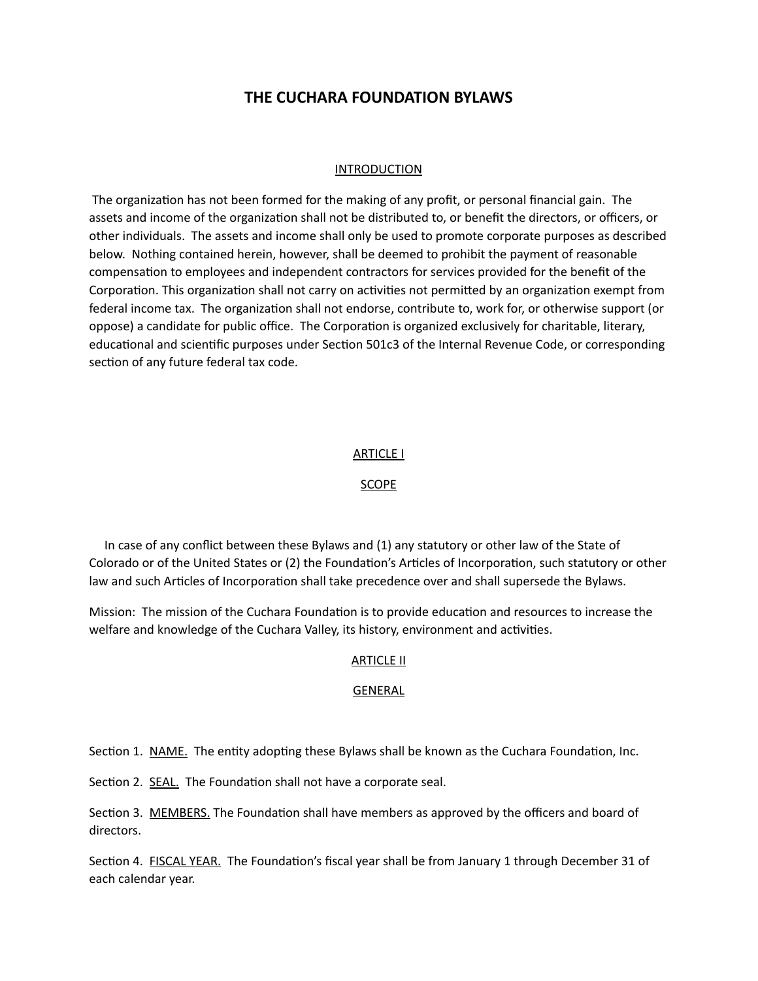# **THE CUCHARA FOUNDATION BYLAWS**

# INTRODUCTION

The organization has not been formed for the making of any profit, or personal financial gain. The assets and income of the organization shall not be distributed to, or benefit the directors, or officers, or other individuals. The assets and income shall only be used to promote corporate purposes as described below. Nothing contained herein, however, shall be deemed to prohibit the payment of reasonable compensation to employees and independent contractors for services provided for the benefit of the Corporation. This organization shall not carry on activities not permitted by an organization exempt from federal income tax. The organization shall not endorse, contribute to, work for, or otherwise support (or oppose) a candidate for public office. The Corporation is organized exclusively for charitable, literary, educational and scientific purposes under Section 501c3 of the Internal Revenue Code, or corresponding section of any future federal tax code.

#### ARTICLE I

#### SCOPE

 In case of any conflict between these Bylaws and (1) any statutory or other law of the State of Colorado or of the United States or (2) the Foundation's Articles of Incorporation, such statutory or other law and such Articles of Incorporation shall take precedence over and shall supersede the Bylaws.

Mission: The mission of the Cuchara Foundation is to provide education and resources to increase the welfare and knowledge of the Cuchara Valley, its history, environment and activities.

#### **ARTICLE II**

#### GENERAL

Section 1. NAME. The entity adopting these Bylaws shall be known as the Cuchara Foundation, Inc.

Section 2. SEAL. The Foundation shall not have a corporate seal.

Section 3. MEMBERS. The Foundation shall have members as approved by the officers and board of directors.

Section 4. FISCAL YEAR. The Foundation's fiscal year shall be from January 1 through December 31 of each calendar year.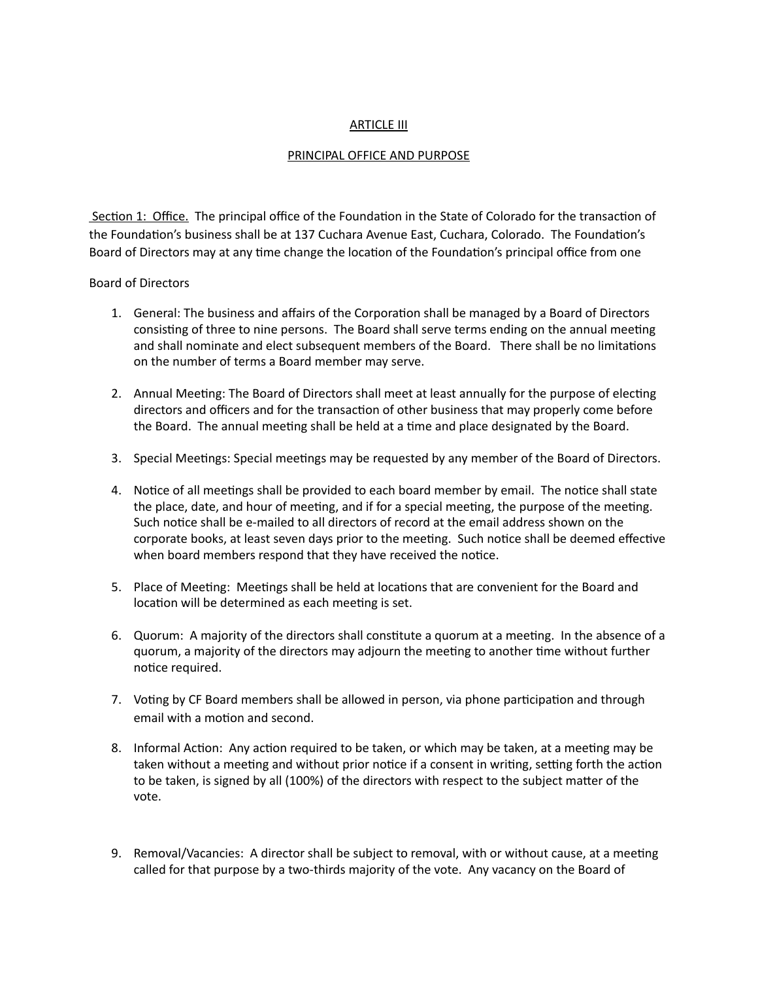### ARTICLE III

### PRINCIPAL OFFICE AND PURPOSE

Section 1: Office. The principal office of the Foundation in the State of Colorado for the transaction of the Foundation's business shall be at 137 Cuchara Avenue East, Cuchara, Colorado. The Foundation's Board of Directors may at any time change the location of the Foundation's principal office from one

### Board of Directors

- 1. General: The business and affairs of the Corporation shall be managed by a Board of Directors consisting of three to nine persons. The Board shall serve terms ending on the annual meeting and shall nominate and elect subsequent members of the Board. There shall be no limitations on the number of terms a Board member may serve.
- 2. Annual Meeting: The Board of Directors shall meet at least annually for the purpose of electing directors and officers and for the transaction of other business that may properly come before the Board. The annual meeting shall be held at a time and place designated by the Board.
- 3. Special Meetings: Special meetings may be requested by any member of the Board of Directors.
- 4. Notice of all meetings shall be provided to each board member by email. The notice shall state the place, date, and hour of meeting, and if for a special meeting, the purpose of the meeting. Such notice shall be e-mailed to all directors of record at the email address shown on the corporate books, at least seven days prior to the meeting. Such notice shall be deemed effective when board members respond that they have received the notice.
- 5. Place of Meeting: Meetings shall be held at locations that are convenient for the Board and location will be determined as each meeting is set.
- 6. Quorum: A majority of the directors shall constitute a quorum at a meeting. In the absence of a quorum, a majority of the directors may adjourn the meeting to another time without further notice required.
- 7. Voting by CF Board members shall be allowed in person, via phone participation and through email with a motion and second.
- 8. Informal Action: Any action required to be taken, or which may be taken, at a meeting may be taken without a meeting and without prior notice if a consent in writing, setting forth the action to be taken, is signed by all (100%) of the directors with respect to the subject matter of the vote.
- 9. Removal/Vacancies: A director shall be subject to removal, with or without cause, at a meeting called for that purpose by a two-thirds majority of the vote. Any vacancy on the Board of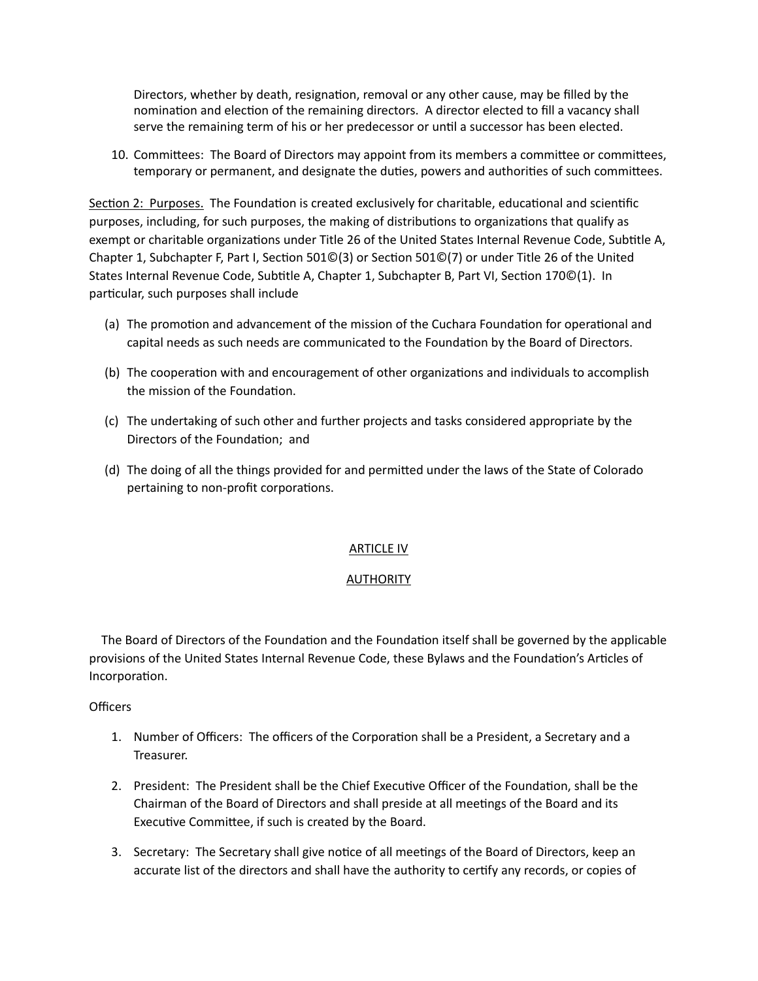Directors, whether by death, resignation, removal or any other cause, may be filled by the nomination and election of the remaining directors. A director elected to fill a vacancy shall serve the remaining term of his or her predecessor or until a successor has been elected.

10. Committees: The Board of Directors may appoint from its members a committee or committees, temporary or permanent, and designate the duties, powers and authorities of such committees.

Section 2: Purposes. The Foundation is created exclusively for charitable, educational and scientific purposes, including, for such purposes, the making of distributions to organizations that qualify as exempt or charitable organizations under Title 26 of the United States Internal Revenue Code, Subtitle A, Chapter 1, Subchapter F, Part I, Section 501 $\mathbb{O}(3)$  or Section 501 $\mathbb{O}(7)$  or under Title 26 of the United States Internal Revenue Code, Subtitle A, Chapter 1, Subchapter B, Part VI, Section 170©(1). In particular, such purposes shall include

- (a) The promotion and advancement of the mission of the Cuchara Foundation for operational and capital needs as such needs are communicated to the Foundation by the Board of Directors.
- (b) The cooperation with and encouragement of other organizations and individuals to accomplish the mission of the Foundation.
- (c) The undertaking of such other and further projects and tasks considered appropriate by the Directors of the Foundation; and
- (d) The doing of all the things provided for and permitted under the laws of the State of Colorado pertaining to non-profit corporations.

# ARTICLE IV

# **AUTHORITY**

The Board of Directors of the Foundation and the Foundation itself shall be governed by the applicable provisions of the United States Internal Revenue Code, these Bylaws and the Foundation's Articles of Incorporation.

# **Officers**

- 1. Number of Officers: The officers of the Corporation shall be a President, a Secretary and a Treasurer.
- 2. President: The President shall be the Chief Executive Officer of the Foundation, shall be the Chairman of the Board of Directors and shall preside at all meetings of the Board and its Executive Committee, if such is created by the Board.
- 3. Secretary: The Secretary shall give notice of all meetings of the Board of Directors, keep an accurate list of the directors and shall have the authority to certify any records, or copies of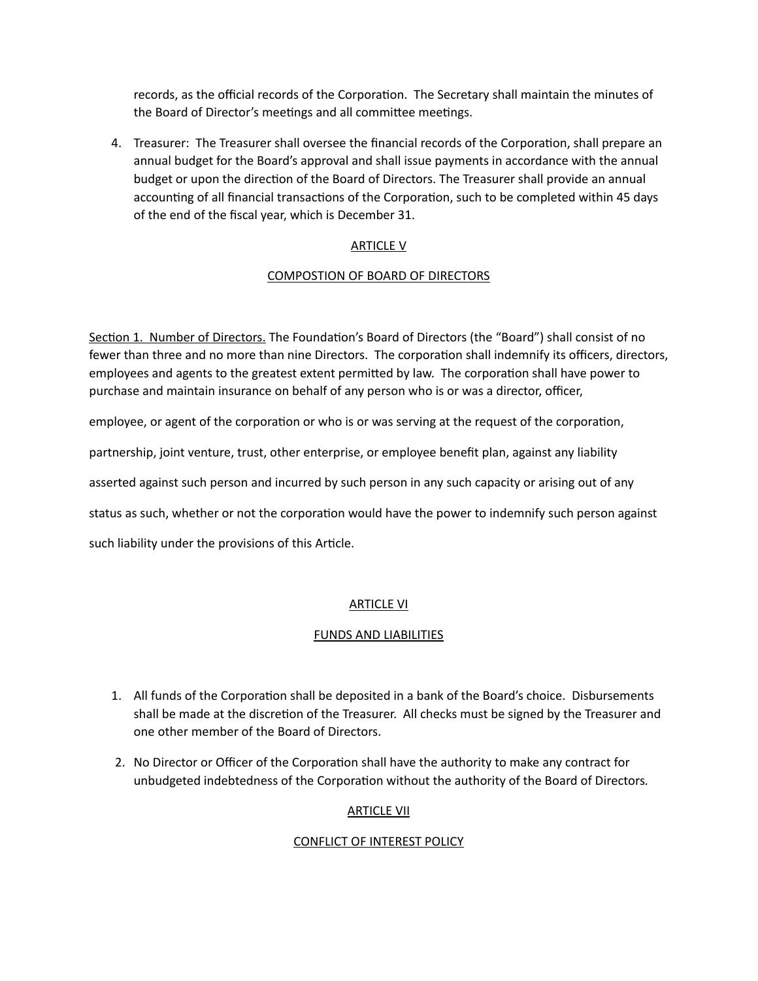records, as the official records of the Corporation. The Secretary shall maintain the minutes of the Board of Director's meetings and all committee meetings.

4. Treasurer: The Treasurer shall oversee the financial records of the Corporation, shall prepare an annual budget for the Board's approval and shall issue payments in accordance with the annual budget or upon the direction of the Board of Directors. The Treasurer shall provide an annual accounting of all financial transactions of the Corporation, such to be completed within 45 days of the end of the fiscal year, which is December 31.

# ARTICLE V

# COMPOSTION OF BOARD OF DIRECTORS

Section 1. Number of Directors. The Foundation's Board of Directors (the "Board") shall consist of no fewer than three and no more than nine Directors. The corporation shall indemnify its officers, directors, employees and agents to the greatest extent permitted by law. The corporation shall have power to purchase and maintain insurance on behalf of any person who is or was a director, officer,

employee, or agent of the corporation or who is or was serving at the request of the corporation,

partnership, joint venture, trust, other enterprise, or employee benefit plan, against any liability

asserted against such person and incurred by such person in any such capacity or arising out of any

status as such, whether or not the corporation would have the power to indemnify such person against

such liability under the provisions of this Article.

# ARTICLE VI

# FUNDS AND LIABILITIES

- 1. All funds of the Corporation shall be deposited in a bank of the Board's choice. Disbursements shall be made at the discretion of the Treasurer. All checks must be signed by the Treasurer and one other member of the Board of Directors.
- 2. No Director or Officer of the Corporation shall have the authority to make any contract for unbudgeted indebtedness of the Corporation without the authority of the Board of Directors.

# ARTICLE VII

# CONFLICT OF INTEREST POLICY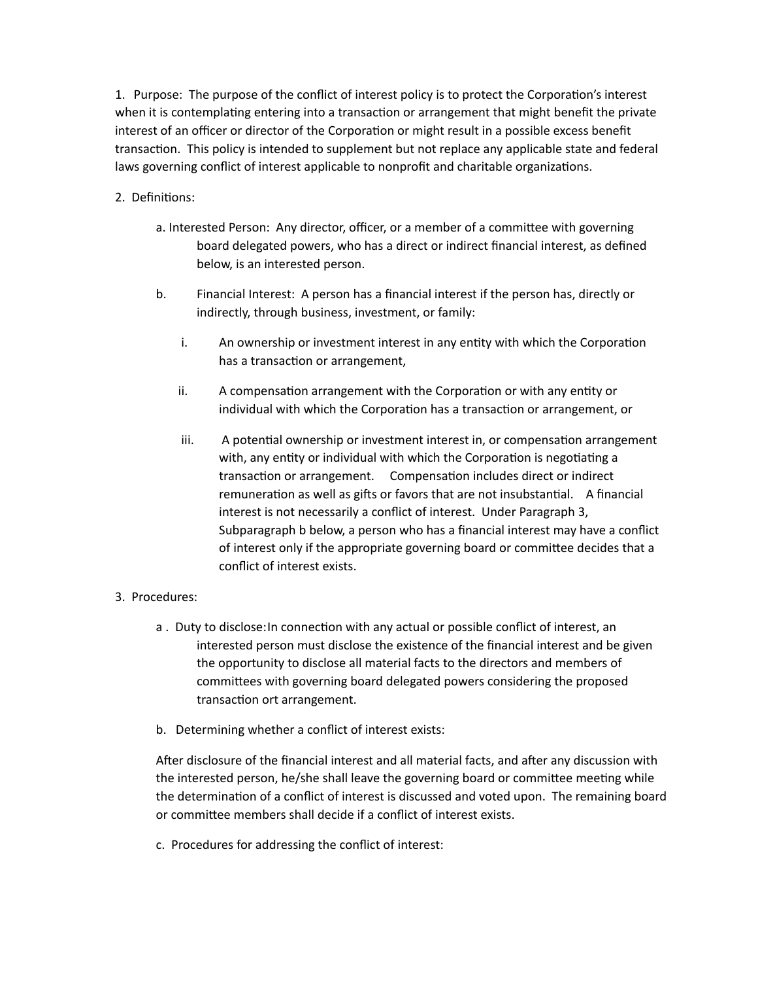1. Purpose: The purpose of the conflict of interest policy is to protect the Corporation's interest when it is contemplating entering into a transaction or arrangement that might benefit the private interest of an officer or director of the Corporation or might result in a possible excess benefit transaction. This policy is intended to supplement but not replace any applicable state and federal laws governing conflict of interest applicable to nonprofit and charitable organizations.

# 2. Definitions:

- a. Interested Person: Any director, officer, or a member of a committee with governing board delegated powers, who has a direct or indirect financial interest, as defined below, is an interested person.
- b. Financial Interest: A person has a financial interest if the person has, directly or indirectly, through business, investment, or family:
	- i. An ownership or investment interest in any entity with which the Corporation has a transaction or arrangement,
	- ii. A compensation arrangement with the Corporation or with any entity or individual with which the Corporation has a transaction or arrangement, or
	- iii. A potential ownership or investment interest in, or compensation arrangement with, any entity or individual with which the Corporation is negotiating a transaction or arrangement. Compensation includes direct or indirect remuneration as well as gifts or favors that are not insubstantial. A financial interest is not necessarily a conflict of interest. Under Paragraph 3, Subparagraph b below, a person who has a financial interest may have a conflict of interest only if the appropriate governing board or committee decides that a conflict of interest exists.

# 3. Procedures:

- a. Duty to disclose: In connection with any actual or possible conflict of interest, an interested person must disclose the existence of the financial interest and be given the opportunity to disclose all material facts to the directors and members of committees with governing board delegated powers considering the proposed transaction ort arrangement.
- b. Determining whether a conflict of interest exists:

After disclosure of the financial interest and all material facts, and after any discussion with the interested person, he/she shall leave the governing board or committee meeting while the determination of a conflict of interest is discussed and voted upon. The remaining board or committee members shall decide if a conflict of interest exists.

c. Procedures for addressing the conflict of interest: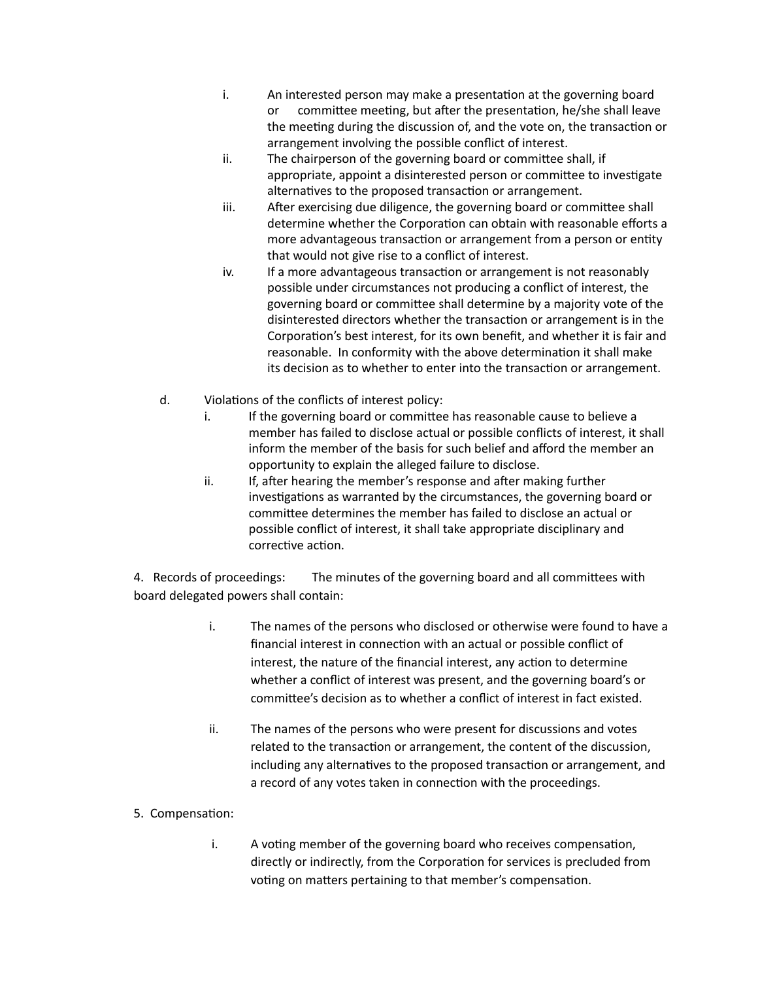- i. An interested person may make a presentation at the governing board or committee meeting, but after the presentation, he/she shall leave the meeting during the discussion of, and the vote on, the transaction or arrangement involving the possible conflict of interest.
- ii. The chairperson of the governing board or committee shall, if appropriate, appoint a disinterested person or committee to investigate alternatives to the proposed transaction or arrangement.
- iii. After exercising due diligence, the governing board or committee shall determine whether the Corporation can obtain with reasonable efforts a more advantageous transaction or arrangement from a person or entity that would not give rise to a conflict of interest.
- iv. If a more advantageous transaction or arrangement is not reasonably possible under circumstances not producing a conflict of interest, the governing board or committee shall determine by a majority vote of the disinterested directors whether the transaction or arrangement is in the Corporation's best interest, for its own benefit, and whether it is fair and reasonable. In conformity with the above determination it shall make its decision as to whether to enter into the transaction or arrangement.
- d. Violations of the conflicts of interest policy:
	- i. If the governing board or committee has reasonable cause to believe a member has failed to disclose actual or possible conflicts of interest, it shall inform the member of the basis for such belief and afford the member an opportunity to explain the alleged failure to disclose.
	- ii. If, after hearing the member's response and after making further investigations as warranted by the circumstances, the governing board or committee determines the member has failed to disclose an actual or possible conflict of interest, it shall take appropriate disciplinary and corrective action.

4. Records of proceedings: The minutes of the governing board and all committees with board delegated powers shall contain:

- i. The names of the persons who disclosed or otherwise were found to have a financial interest in connection with an actual or possible conflict of interest, the nature of the financial interest, any action to determine whether a conflict of interest was present, and the governing board's or commiFee's decision as to whether a conflict of interest in fact existed.
- ii. The names of the persons who were present for discussions and votes related to the transaction or arrangement, the content of the discussion, including any alternatives to the proposed transaction or arrangement, and a record of any votes taken in connection with the proceedings.
- 5. Compensation:
	- i. A voting member of the governing board who receives compensation, directly or indirectly, from the Corporation for services is precluded from voting on matters pertaining to that member's compensation.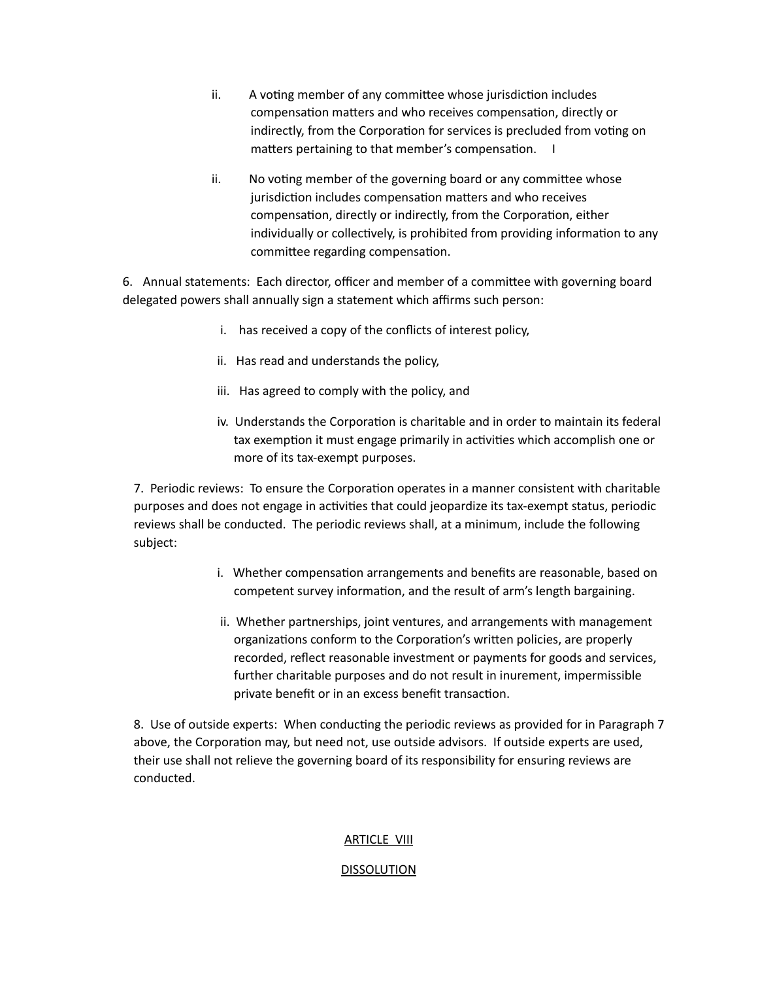- ii. A voting member of any committee whose jurisdiction includes compensation matters and who receives compensation, directly or indirectly, from the Corporation for services is precluded from voting on matters pertaining to that member's compensation. I
- ii. No voting member of the governing board or any committee whose jurisdiction includes compensation matters and who receives compensation, directly or indirectly, from the Corporation, either individually or collectively, is prohibited from providing information to any committee regarding compensation.

6. Annual statements: Each director, officer and member of a committee with governing board delegated powers shall annually sign a statement which affirms such person:

- i. has received a copy of the conflicts of interest policy,
- ii. Has read and understands the policy,
- iii. Has agreed to comply with the policy, and
- iv. Understands the Corporation is charitable and in order to maintain its federal tax exemption it must engage primarily in activities which accomplish one or more of its tax-exempt purposes.

7. Periodic reviews: To ensure the Corporation operates in a manner consistent with charitable purposes and does not engage in activities that could jeopardize its tax-exempt status, periodic reviews shall be conducted. The periodic reviews shall, at a minimum, include the following subject:

- i. Whether compensation arrangements and benefits are reasonable, based on competent survey information, and the result of arm's length bargaining.
- ii. Whether partnerships, joint ventures, and arrangements with management organizations conform to the Corporation's written policies, are properly recorded, reflect reasonable investment or payments for goods and services, further charitable purposes and do not result in inurement, impermissible private benefit or in an excess benefit transaction.

8. Use of outside experts: When conducting the periodic reviews as provided for in Paragraph 7 above, the Corporation may, but need not, use outside advisors. If outside experts are used, their use shall not relieve the governing board of its responsibility for ensuring reviews are conducted.

# ARTICLE VIII

# DISSOLUTION